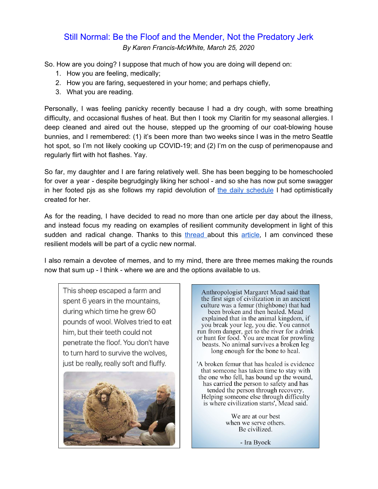# Still Normal: Be the Floof and the Mender, Not the Predatory Jerk *By Karen Francis-McWhite, March 25, 2020*

So. How are you doing? I suppose that much of how you are doing will depend on:

- 1. How you are feeling, medically;
- 2. How you are faring, sequestered in your home; and perhaps chiefly,
- 3. What you are reading.

Personally, I was feeling panicky recently because I had a dry cough, with some breathing difficulty, and occasional flushes of heat. But then I took my Claritin for my seasonal allergies. I deep cleaned and aired out the house, stepped up the grooming of our coat-blowing house bunnies, and I remembered: (1) it's been more than two weeks since I was in the metro Seattle hot spot, so I'm not likely cooking up COVID-19; and (2) I'm on the cusp of perimenopause and regularly flirt with hot flashes. Yay.

So far, my daughter and I are faring relatively well. She has been begging to be homeschooled for over a year - despite begrudgingly liking her school - and so she has now put some swagger in her footed pjs as she follows my rapid devolution of the daily [schedule](https://docs.google.com/document/d/1dIxXpqTwIKiHoVgP9NDXIg_qdOZD4xPIIowvV7ABiSI/edit?usp=sharing) I had optimistically created for her.

As for the reading, I have decided to read no more than one article per day about the illness, and instead focus my reading on examples of resilient community development in light of this sudden and radical change. Thanks to this [thread](https://twitter.com/jeremycyoung/status/1239975682643357696) about this [article,](https://www.imperial.ac.uk/media/imperial-college/medicine/sph/ide/gida-fellowships/Imperial-College-COVID19-NPI-modelling-16-03-2020.pdf) I am convinced these resilient models will be part of a cyclic new normal.

I also remain a devotee of memes, and to my mind, there are three memes making the rounds now that sum up - I think - where we are and the options available to us.

This sheep escaped a farm and spent 6 years in the mountains, during which time he grew 60 pounds of wool. Wolves tried to eat him, but their teeth could not penetrate the floof. You don't have to turn hard to survive the wolves, just be really, really soft and fluffy.



Anthropologist Margaret Mead said that the first sign of civilization in an ancient culture was a femur (thighbone) that had been broken and then healed. Mead explained that in the animal kingdom, if you break your leg, you die. You cannot run from danger, get to the river for a drink or hunt for food. You are meat for prowling beasts. No animal survives a broken leg long enough for the bone to heal.

'A broken femur that has healed is evidence that someone has taken time to stay with the one who fell, has bound up the wound, has carried the person to safety and has tended the person through recovery. Helping someone else through difficulty is where civilization starts', Mead said.

> We are at our best when we serve others. Be civilized.

> > - Ira Byock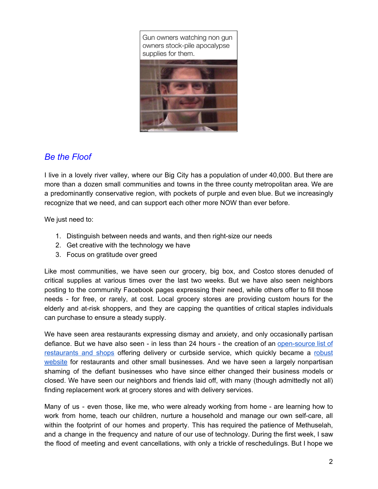Gun owners watching non gun owners stock-pile apocalypse supplies for them.



## *Be the Floof*

I live in a lovely river valley, where our Big City has a population of under 40,000. But there are more than a dozen small communities and towns in the three county metropolitan area. We are a predominantly conservative region, with pockets of purple and even blue. But we increasingly recognize that we need, and can support each other more NOW than ever before.

We just need to:

- 1. Distinguish between needs and wants, and then right-size our needs
- 2. Get creative with the technology we have
- 3. Focus on gratitude over greed

Like most communities, we have seen our grocery, big box, and Costco stores denuded of critical supplies at various times over the last two weeks. But we have also seen neighbors posting to the community Facebook pages expressing their need, while others offer to fill those needs - for free, or rarely, at cost. Local grocery stores are providing custom hours for the elderly and at-risk shoppers, and they are capping the quantities of critical staples individuals can purchase to ensure a steady supply.

We have seen area restaurants expressing dismay and anxiety, and only occasionally partisan defiance. But we have also seen - in less than 24 hours - the creation of an [open-source](https://docs.google.com/spreadsheets/d/1vU2rC_XiN6mPHmgcxPxCpfMnfVgg1iXLgtU8F7mX270/edit?fbclid=IwAR21TwOMtDTYD0msw4_v03eGJ1TAPEDNcgWyrBb7p6mtycFe9pDBjKnJYc0#gid=0) list of [restaurants](https://docs.google.com/spreadsheets/d/1vU2rC_XiN6mPHmgcxPxCpfMnfVgg1iXLgtU8F7mX270/edit?fbclid=IwAR21TwOMtDTYD0msw4_v03eGJ1TAPEDNcgWyrBb7p6mtycFe9pDBjKnJYc0#gid=0) and shops offering delivery or curbside service, which quickly became a [robust](https://l.facebook.com/l.php?u=https%3A%2F%2Ftogetherwenatchee.com%2F%3Ffbclid%3DIwAR21TwOMtDTYD0msw4_v03eGJ1TAPEDNcgWyrBb7p6mtycFe9pDBjKnJYc0&h=AT0SglVNFuQBb7sfkNWvVwSLDUHfQmGiY05ZmINrm6YR_c9ycosiKueiIuZVOmRMmOuOmJGxg4wEvvDNfdSovJO-2yI8a_0RK-TBhsq7oCD1-_Frrf7jN8_EkTuqdmRfmw&__tn__=R]-R&c[0]=AT3nV-oO6CajD4TZYZiL0ITI0ZgFQue3Kgu5Kbj7-FZwSle_CnUyOcpyCbQaO3twvqy4Duy6lopQro_zgf833QfLZ4f5k-hZ0hWmtm3JgCf26wyICKrZxBbk6ZDqU-ZWmI-fSZMdOQhZHB60mRnWwFLNAZgOuXIouR1pfe6aFmd6zlIaEDGbYfYsMq5lzmaa2w4oiryCiTW1wOYwJZV7Ex2cdqq1) [website](https://l.facebook.com/l.php?u=https%3A%2F%2Ftogetherwenatchee.com%2F%3Ffbclid%3DIwAR21TwOMtDTYD0msw4_v03eGJ1TAPEDNcgWyrBb7p6mtycFe9pDBjKnJYc0&h=AT0SglVNFuQBb7sfkNWvVwSLDUHfQmGiY05ZmINrm6YR_c9ycosiKueiIuZVOmRMmOuOmJGxg4wEvvDNfdSovJO-2yI8a_0RK-TBhsq7oCD1-_Frrf7jN8_EkTuqdmRfmw&__tn__=R]-R&c[0]=AT3nV-oO6CajD4TZYZiL0ITI0ZgFQue3Kgu5Kbj7-FZwSle_CnUyOcpyCbQaO3twvqy4Duy6lopQro_zgf833QfLZ4f5k-hZ0hWmtm3JgCf26wyICKrZxBbk6ZDqU-ZWmI-fSZMdOQhZHB60mRnWwFLNAZgOuXIouR1pfe6aFmd6zlIaEDGbYfYsMq5lzmaa2w4oiryCiTW1wOYwJZV7Ex2cdqq1) for restaurants and other small businesses. And we have seen a largely nonpartisan shaming of the defiant businesses who have since either changed their business models or closed. We have seen our neighbors and friends laid off, with many (though admittedly not all) finding replacement work at grocery stores and with delivery services.

Many of us - even those, like me, who were already working from home - are learning how to work from home, teach our children, nurture a household and manage our own self-care, all within the footprint of our homes and property. This has required the patience of Methuselah, and a change in the frequency and nature of our use of technology. During the first week, I saw the flood of meeting and event cancellations, with only a trickle of reschedulings. But I hope we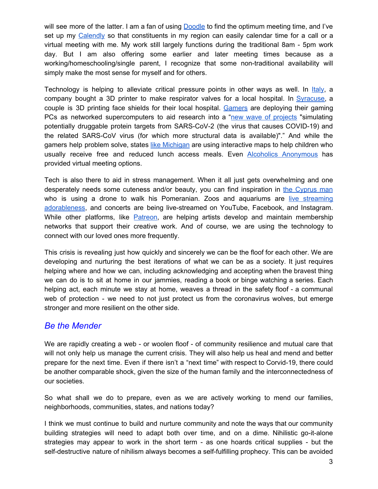will see more of the latter. I am a fan of using [Doodle](https://doodle.com/en/) to find the optimum meeting time, and I've set up my [Calendly](https://calendly.com/) so that constituents in my region can easily calendar time for a call or a virtual meeting with me. My work still largely functions during the traditional 8am - 5pm work day. But I am also offering some earlier and later meeting times because as a working/homeschooling/single parent, I recognize that some non-traditional availability will simply make the most sense for myself and for others.

Technology is helping to alleviate critical pressure points in other ways as well. In [Italy](https://www.reddit.com/r/Coronavirus/comments/fjcz60/an_italian_hospital_ran_out_of_icu_valves_a_local/), a company bought a 3D printer to make respirator valves for a local hospital. In [Syracuse](https://www.syracuse.com/coronavirus/2020/03/cny-couple-using-3d-printers-makes-100s-of-face-shields-for-coronavirus-testing-clinic.html?fbclid=IwAR2Ju1BEj60kXZ-ECeAa0ss8QtzA3CwfrsDdS-cgyiPt7XplImYSGHyvN1o), a couple is 3D printing face shields for their local hospital. [Gamers](https://www.gamesradar.com/uk/nvidias-calling-on-gaming-pc-owners-to-put-their-systems-to-work-fighting-covid-19/?fbclid=IwAR38LBMwpXrQJZ0Hk1H30Bs2gQaToPRpg3lzUjFLWSNUzdkEGw2NooRy1jc) are deploying their gaming PCs as networked supercomputers to aid research into a "new wave of [projects](https://foldingathome.org/2020/03/10/covid19-update/) "simulating potentially druggable protein targets from SARS-CoV-2 (the virus that causes COVID-19) and the related SARS-CoV virus (for which more structural data is available)"." And while the gamers help problem solve, states like [Michigan](https://www.mlive.com/public-interest/2020/03/michigan-releases-interactive-map-locating-free-meals-for-children-during-coronavirus-school-closures.html) are using interactive maps to help children who usually receive free and reduced lunch access meals. Even Alcoholics [Anonymous](http://aa-intergroup.org/directory.php) has provided virtual meeting options.

Tech is also there to aid in stress management. When it all just gets overwhelming and one desperately needs some cuteness and/or beauty, you can find inspiration in the [Cyprus](https://www.usatoday.com/videos/news/have-you-seen/2020/03/20/man-uses-drone-walk-dog-during-coronavirus-lockdown/2882768001/) man who is using a drone to walk his Pomeranian. Zoos and aquariums are live [streaming](https://www.cbsnews.com/news/coronavirus-zoos-aquariums-live-stream-animals-isolation-quarantine/?ftag=CNM-00-10aag7e) [adorableness](https://www.cbsnews.com/news/coronavirus-zoos-aquariums-live-stream-animals-isolation-quarantine/?ftag=CNM-00-10aag7e), and concerts are being live-streamed on YouTube, Facebook, and Instagram. While other platforms, like [Patreon,](https://www.patreon.com/) are helping artists develop and maintain membership networks that support their creative work. And of course, we are using the technology to connect with our loved ones more frequently.

This crisis is revealing just how quickly and sincerely we can be the floof for each other. We are developing and nurturing the best iterations of what we can be as a society. It just requires helping where and how we can, including acknowledging and accepting when the bravest thing we can do is to sit at home in our jammies, reading a book or binge watching a series. Each helping act, each minute we stay at home, weaves a thread in the safety floof - a communal web of protection - we need to not just protect us from the coronavirus wolves, but emerge stronger and more resilient on the other side.

### *Be the Mender*

We are rapidly creating a web - or woolen floof - of community resilience and mutual care that will not only help us manage the current crisis. They will also help us heal and mend and better prepare for the next time. Even if there isn't a "next time" with respect to Corvid-19, there could be another comparable shock, given the size of the human family and the interconnectedness of our societies.

So what shall we do to prepare, even as we are actively working to mend our families, neighborhoods, communities, states, and nations today?

I think we must continue to build and nurture community and note the ways that our community building strategies will need to adapt both over time, and on a dime. Nihilistic go-it-alone strategies may appear to work in the short term - as one hoards critical supplies - but the self-destructive nature of nihilism always becomes a self-fulfilling prophecy. This can be avoided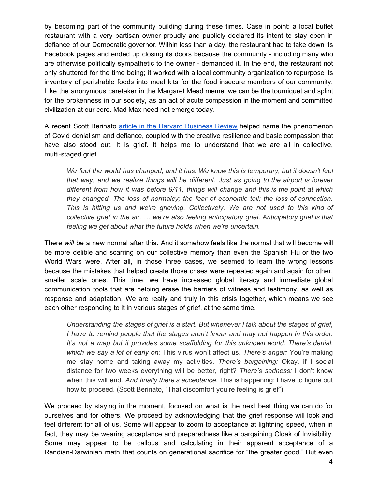by becoming part of the community building during these times. Case in point: a local buffet restaurant with a very partisan owner proudly and publicly declared its intent to stay open in defiance of our Democratic governor. Within less than a day, the restaurant had to take down its Facebook pages and ended up closing its doors because the community - including many who are otherwise politically sympathetic to the owner - demanded it. In the end, the restaurant not only shuttered for the time being; it worked with a local community organization to repurpose its inventory of perishable foods into meal kits for the food insecure members of our community. Like the anonymous caretaker in the Margaret Mead meme, we can be the tourniquet and splint for the brokenness in our society, as an act of acute compassion in the moment and committed civilization at our core. Mad Max need not emerge today.

A recent Scott Berinato article in the Harvard [Business](https://hbr.org/2020/03/that-discomfort-youre-feeling-is-grief) Review helped name the phenomenon of Covid denialism and defiance, coupled with the creative resilience and basic compassion that have also stood out. It is grief. It helps me to understand that we are all in collective, multi-staged grief.

*We feel the world has changed, and it has. We know this is temporary, but it doesn't feel that way, and we realize things will be different. Just as going to the airport is forever different from how it was before 9/11, things will change and this is the point at which they changed. The loss of normalcy; the fear of economic toll; the loss of connection. This is hitting us and we're grieving. Collectively. We are not used to this kind of collective grief in the air. … we're also feeling anticipatory grief. Anticipatory grief is that feeling we get about what the future holds when we're uncertain.*

There *will* be a new normal after this. And it somehow feels like the normal that will become will be more delible and scarring on our collective memory than even the Spanish Flu or the two World Wars were. After all, in those three cases, we seemed to learn the wrong lessons because the mistakes that helped create those crises were repeated again and again for other, smaller scale ones. This time, we have increased global literacy and immediate global communication tools that are helping erase the barriers of witness and testimony, as well as response and adaptation. We are really and truly in this crisis together, which means we see each other responding to it in various stages of grief, at the same time.

*Understanding the stages of grief is a start. But whenever I talk about the stages of grief, I have to remind people that the stages aren't linear and may not happen in this order. It's not a map but it provides some scaffolding for this unknown world. There's denial, which we say a lot of early on:* This virus won't affect us. *There's anger:* You're making me stay home and taking away my activities. *There's bargaining:* Okay, if I social distance for two weeks everything will be better, right? *There's sadness:* I don't know when this will end. *And finally there's acceptance.* This is happening; I have to figure out how to proceed. (Scott Berinato, "That discomfort you're feeling is grief")

We proceed by staying in the moment, focused on what is the next best thing we can do for ourselves and for others. We proceed by acknowledging that the grief response will look and feel different for all of us. Some will appear to zoom to acceptance at lightning speed, when in fact, they may be wearing acceptance and preparedness like a bargaining Cloak of Invisibility. Some may appear to be callous and calculating in their apparent acceptance of a Randian-Darwinian math that counts on generational sacrifice for "the greater good." But even